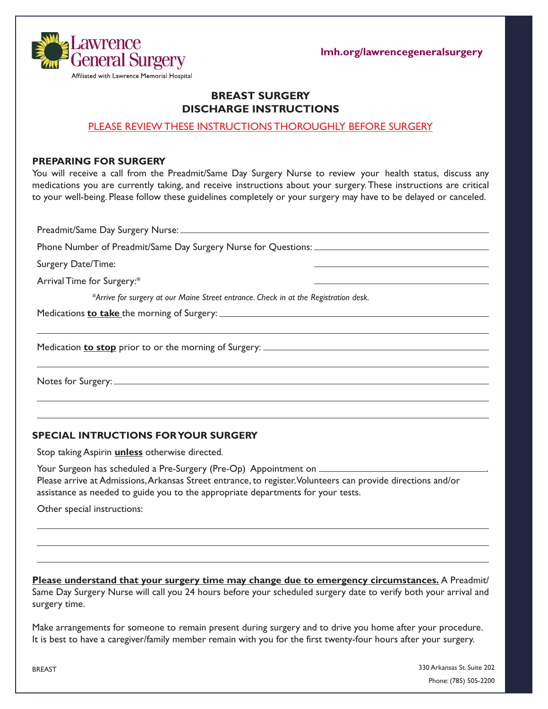**lmh.org/lawrencegeneralsurgery**



# **BREAST SURGERY DISCHARGE INSTRUCTIONS**

## PLEASE REVIEW THESE INSTRUCTIONS THOROUGHLY BEFORE SURGERY

#### **PREPARING FOR SURGERY**

You will receive a call from the Preadmit/Same Day Surgery Nurse to review your health status, discuss any medications you are currently taking, and receive instructions about your surgery. These instructions are critical to your well-being. Please follow these guidelines completely or your surgery may have to be delayed or canceled.

Preadmit/Same Day Surgery Nurse: Phone Number of Preadmit/Same Day Surgery Nurse for Questions: Surgery Date/Time: Arrival Time for Surgery:\* *\*Arrive for surgery at our Maine Street entrance. Check in at the Registration desk.*  Medications **to take** the morning of Surgery: Medication **to stop** prior to or the morning of Surgery: Notes for Surgery:

### **SPECIAL INTRUCTIONS FOR YOUR SURGERY**

Stop taking Aspirin **unless** otherwise directed.

Your Surgeon has scheduled a Pre-Surgery (Pre-Op) Appointment on \_\_\_\_\_\_\_\_\_ Please arrive at Admissions, Arkansas Street entrance, to register. Volunteers can provide directions and/or assistance as needed to guide you to the appropriate departments for your tests.

Other special instructions:

**Please understand that your surgery time may change due to emergency circumstances.** A Preadmit/ Same Day Surgery Nurse will call you 24 hours before your scheduled surgery date to verify both your arrival and surgery time.

Make arrangements for someone to remain present during surgery and to drive you home after your procedure. It is best to have a caregiver/family member remain with you for the first twenty-four hours after your surgery.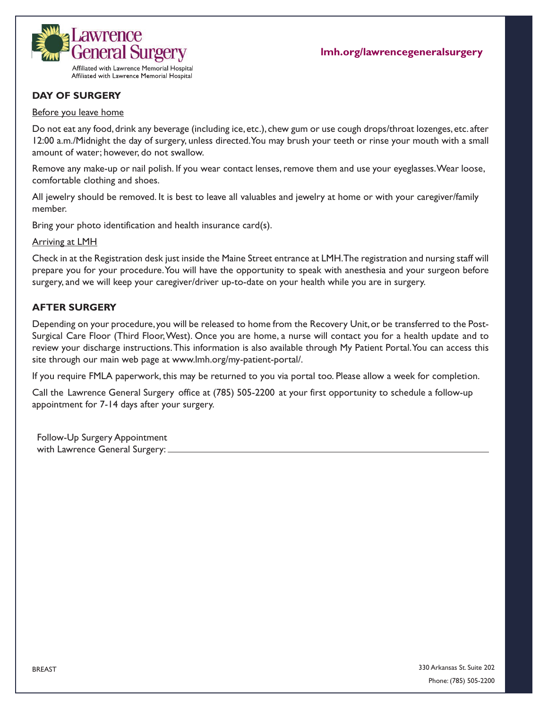

# **DAY OF SURGERY**

### Before you leave home

Do not eat any food, drink any beverage (including ice, etc.), chew gum or use cough drops/throat lozenges, etc. after 12:00 a.m./Midnight the day of surgery, unless directed. You may brush your teeth or rinse your mouth with a small amount of water; however, do not swallow.

Remove any make-up or nail polish. If you wear contact lenses, remove them and use your eyeglasses. Wear loose, comfortable clothing and shoes.

All jewelry should be removed. It is best to leave all valuables and jewelry at home or with your caregiver/family member.

Bring your photo identification and health insurance card(s).

Arriving at LMH

Check in at the Registration desk just inside the Maine Street entrance at LMH. The registration and nursing staff will prepare you for your procedure. You will have the opportunity to speak with anesthesia and your surgeon before surgery, and we will keep your caregiver/driver up-to-date on your health while you are in surgery.

## **AFTER SURGERY**

Depending on your procedure, you will be released to home from the Recovery Unit, or be transferred to the Post-Surgical Care Floor (Third Floor, West). Once you are home, a nurse will contact you for a health update and to review your discharge instructions.This information is also available through My Patient Portal. You can access this site through our main web page at www.lmh.org/my-patient-portal/.

If you require FMLA paperwork, this may be returned to you via portal too. Please allow a week for completion.

Call the Lawrence General Surgery office at (785) 505-2200 at your first opportunity to schedule a follow-up appointment for 7-14 days after your surgery.

Follow-Up Surgery Appointment with Lawrence General Surgery: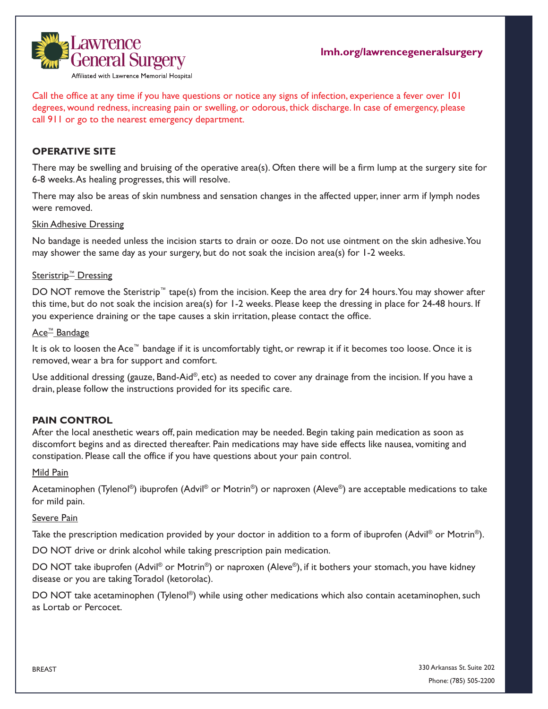

Call the office at any time if you have questions or notice any signs of infection, experience a fever over 101 degrees, wound redness, increasing pain or swelling, or odorous, thick discharge. In case of emergency, please call 911 or go to the nearest emergency department.

# **OPERATIVE SITE**

There may be swelling and bruising of the operative area(s). Often there will be a firm lump at the surgery site for 6-8 weeks. As healing progresses, this will resolve.

There may also be areas of skin numbness and sensation changes in the affected upper, inner arm if lymph nodes were removed.

### Skin Adhesive Dressing

No bandage is needed unless the incision starts to drain or ooze. Do not use ointment on the skin adhesive. You may shower the same day as your surgery, but do not soak the incision area(s) for 1-2 weeks.

# Steristrip<sup>™</sup> Dressing

DO NOT remove the Steristrip™ tape(s) from the incision. Keep the area dry for 24 hours. You may shower after this time, but do not soak the incision area(s) for 1-2 weeks. Please keep the dressing in place for 24-48 hours. If you experience draining or the tape causes a skin irritation, please contact the office.

#### Ace™ Bandage

It is ok to loosen the Ace™ bandage if it is uncomfortably tight, or rewrap it if it becomes too loose. Once it is removed, wear a bra for support and comfort.

Use additional dressing (gauze, Band-Aid®, etc) as needed to cover any drainage from the incision. If you have a drain, please follow the instructions provided for its specific care.

# **PAIN CONTROL**

After the local anesthetic wears off, pain medication may be needed. Begin taking pain medication as soon as discomfort begins and as directed thereafter. Pain medications may have side effects like nausea, vomiting and constipation. Please call the office if you have questions about your pain control.

#### Mild Pain

Acetaminophen (Tylenol®) ibuprofen (Advil® or Motrin®) or naproxen (Aleve®) are acceptable medications to take for mild pain.

#### Severe Pain

Take the prescription medication provided by your doctor in addition to a form of ibuprofen (Advil<sup>®</sup> or Motrin<sup>®</sup>).

DO NOT drive or drink alcohol while taking prescription pain medication.

DO NOT take ibuprofen (Advil<sup>®</sup> or Motrin<sup>®</sup>) or naproxen (Aleve®), if it bothers your stomach, you have kidney disease or you are taking Toradol (ketorolac).

DO NOT take acetaminophen (Tylenol®) while using other medications which also contain acetaminophen, such as Lortab or Percocet.